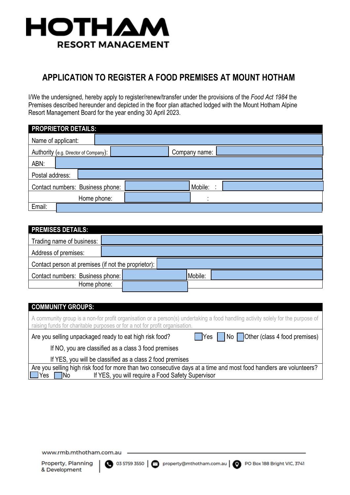

# **APPLICATION TO REGISTER A FOOD PREMISES AT MOUNT HOTHAM**

I/We the undersigned, hereby apply to register/renew/tra nsfer under the provisions of the *Food Act 1984* the Premises described hereunder and depicted in the floor plan attached lodged with the Mount Hotham Alpine Resort Management Board for the year ending 30 April 2023.

| <b>PROPRIETOR DETAILS:</b>            |                    |             |  |               |  |  |  |
|---------------------------------------|--------------------|-------------|--|---------------|--|--|--|
|                                       | Name of applicant: |             |  |               |  |  |  |
| Authority (e.g. Director of Company): |                    |             |  | Company name: |  |  |  |
| ABN:                                  |                    |             |  |               |  |  |  |
| Postal address:                       |                    |             |  |               |  |  |  |
| Contact numbers: Business phone:      |                    |             |  | Mobile:       |  |  |  |
|                                       |                    | Home phone: |  |               |  |  |  |
| Email:                                |                    |             |  |               |  |  |  |

| <b>PREMISES DETAILS:</b>                            |  |  |  |         |  |  |
|-----------------------------------------------------|--|--|--|---------|--|--|
| Trading name of business:                           |  |  |  |         |  |  |
| Address of premises:                                |  |  |  |         |  |  |
| Contact person at premises (if not the proprietor): |  |  |  |         |  |  |
| Contact numbers: Business phone:                    |  |  |  | Mobile: |  |  |
| Home phone:                                         |  |  |  |         |  |  |

| <b>COMMUNITY GROUPS:</b>                                                                                                                                                                                        |  |  |  |  |
|-----------------------------------------------------------------------------------------------------------------------------------------------------------------------------------------------------------------|--|--|--|--|
| A community group is a non-for profit organisation or a person(s) undertaking a food handling activity solely for the purpose of<br>raising funds for charitable purposes or for a not for profit organisation. |  |  |  |  |
| Yes   No Other (class 4 food premises)<br>Are you selling unpackaged ready to eat high risk food?                                                                                                               |  |  |  |  |
| If NO, you are classified as a class 3 food premises                                                                                                                                                            |  |  |  |  |
| If YES, you will be classified as a class 2 food premises                                                                                                                                                       |  |  |  |  |
| Are you selling high risk food for more than two consecutive days at a time and most food handlers are volunteers?                                                                                              |  |  |  |  |
| If YES, you will require a Food Safety Supervisor<br><b>No</b><br>lYes.                                                                                                                                         |  |  |  |  |

03 5759 3550 | property@mthotham.com.au | O PO Box 188 Bright VIC, 3741

www.rmb.mthotham.com.au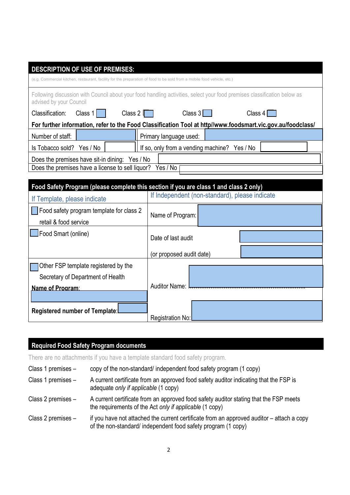| <b>DESCRIPTION OF USE OF PREMISES:</b>                                                                                                              |                                                |  |                                                                                                             |           |  |                   |  |  |
|-----------------------------------------------------------------------------------------------------------------------------------------------------|------------------------------------------------|--|-------------------------------------------------------------------------------------------------------------|-----------|--|-------------------|--|--|
| (e.g. Commercial kitchen, restaurant, facility for the preparation of food to be sold from a mobile food vehicle, etc.)                             |                                                |  |                                                                                                             |           |  |                   |  |  |
| Following discussion with Council about your food handling activities, select your food premises classification below as<br>advised by your Council |                                                |  |                                                                                                             |           |  |                   |  |  |
| Classification:                                                                                                                                     | Class $1$                                      |  | Class $2 \sqrt{ }$                                                                                          | Class $3$ |  | Class $4\sqrt{ }$ |  |  |
|                                                                                                                                                     |                                                |  | For further information, refer to the Food Classification Tool at http//www.foodsmart.vic.gov.au/foodclass/ |           |  |                   |  |  |
| Number of staff:                                                                                                                                    |                                                |  | Primary language used:                                                                                      |           |  |                   |  |  |
| Is Tobacco sold? Yes / No                                                                                                                           |                                                |  | If so, only from a vending machine? Yes / No                                                                |           |  |                   |  |  |
|                                                                                                                                                     | Does the premises have sit-in dining: Yes / No |  |                                                                                                             |           |  |                   |  |  |
| Does the premises have a license to sell liquor?                                                                                                    |                                                |  | Yes / No                                                                                                    |           |  |                   |  |  |
|                                                                                                                                                     |                                                |  | Food Safety Program (please complete this section if you are class 1 and class 2 only)                      |           |  |                   |  |  |
| If Template, please indicate                                                                                                                        | If Independent (non-standard), please indicate |  |                                                                                                             |           |  |                   |  |  |
| Food safety program template for class 2                                                                                                            |                                                |  | Name of Program:                                                                                            |           |  |                   |  |  |
| retail & food service                                                                                                                               |                                                |  |                                                                                                             |           |  |                   |  |  |
| Food Smart (online)                                                                                                                                 |                                                |  | Date of last audit                                                                                          |           |  |                   |  |  |
|                                                                                                                                                     |                                                |  | (or proposed audit date)                                                                                    |           |  |                   |  |  |
| Other FSP template registered by the                                                                                                                |                                                |  |                                                                                                             |           |  |                   |  |  |
| Secretary of Department of Health                                                                                                                   |                                                |  |                                                                                                             |           |  |                   |  |  |
| Name of Program:                                                                                                                                    |                                                |  | Auditor Name:                                                                                               |           |  |                   |  |  |
|                                                                                                                                                     |                                                |  |                                                                                                             |           |  |                   |  |  |

# **Required Food Safety Program documents**

**Registered number of Template:** 

There are no attachments if you have a template standard food safety program.

| Class 1 premises - | copy of the non-standard/independent food safety program (1 copy)                                                                                         |
|--------------------|-----------------------------------------------------------------------------------------------------------------------------------------------------------|
| Class 1 premises - | A current certificate from an approved food safety auditor indicating that the FSP is<br>adequate only if applicable (1 copy)                             |
| Class 2 premises - | A current certificate from an approved food safety auditor stating that the FSP meets<br>the requirements of the Act only if applicable (1 copy)          |
| Class 2 premises - | if you have not attached the current certificate from an approved auditor – attach a copy<br>of the non-standard/independent food safety program (1 copy) |

Registration No: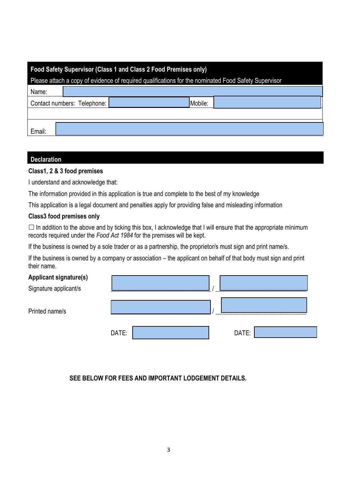| Food Safety Supervisor (Class 1 and Class 2 Food Premises only)                                      |  |         |  |  |  |
|------------------------------------------------------------------------------------------------------|--|---------|--|--|--|
| Please attach a copy of evidence of required qualifications for the nominated Food Safety Supervisor |  |         |  |  |  |
| Name:                                                                                                |  |         |  |  |  |
| Contact numbers: Telephone:                                                                          |  | Mobile: |  |  |  |
|                                                                                                      |  |         |  |  |  |
| Email:                                                                                               |  |         |  |  |  |

### **Declaration**

### **Class1, 2 & 3 food premises**

I understand and acknowledge that:

The information provided in this application is true and complete to the best of my knowledge

This application is a legal document and penalties apply for providing false and misleading information

#### **Class3 food premises only**

 $\Box$  In addition to the above and by ticking this box, I acknowledge that I will ensure that the appropriate minimum records required under the *Food Act 1984* for the premises will be kept.

If the business is owned by a sole trader or as a partnership, the proprietor/s must sign and print name/s.

If the business is owned by a company or association – the applicant on behalf of that body must sign and print their name.

#### **Applicant signat**

| <b>Applicant signature(s)</b><br>Signature applicant/s |       |  |       |  |
|--------------------------------------------------------|-------|--|-------|--|
| Printed name/s                                         |       |  |       |  |
|                                                        | DATE: |  | DATE: |  |

## **SEE BELOW FOR FEES AND IMPORTANT LODGEMENT DETAILS.**